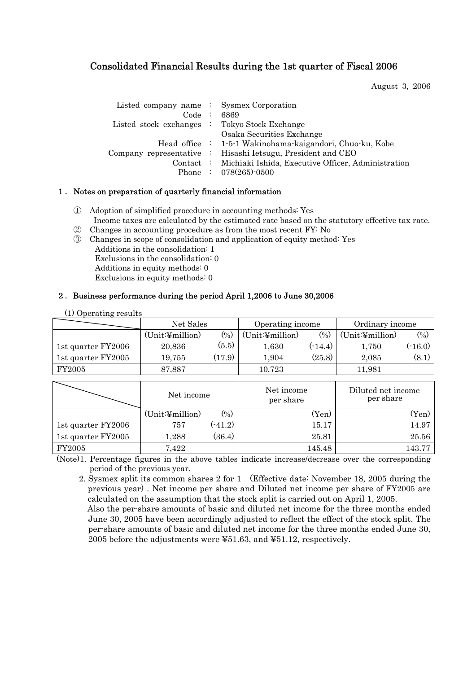## Consolidated Financial Results during the 1st quarter of Fiscal 2006

August 3, 2006

| Listed company name : Sysmex Corporation<br>Code : 6869<br>Listed stock exchanges : Tokyo Stock Exchange | Osaka Securities Exchange                                                                                                                                                                                           |
|----------------------------------------------------------------------------------------------------------|---------------------------------------------------------------------------------------------------------------------------------------------------------------------------------------------------------------------|
|                                                                                                          | Head office : 1-5-1 Wakinohama-kaigandori, Chuo-ku, Kobe<br>Company representative : Hisashi Ietsugu, President and CEO<br>Contact : Michiaki Ishida, Executive Officer, Administration<br>Phone : $078(265)$ -0500 |

### 1. Notes on preparation of quarterly financial information

- ① Adoption of simplified procedure in accounting methods: Yes Income taxes are calculated by the estimated rate based on the statutory effective tax rate.
- ② Changes in accounting procedure as from the most recent FY: No
- ③ Changes in scope of consolidation and application of equity method: Yes
- Additions in the consolidation: 1 Exclusions in the consolidation: 0 Additions in equity methods: 0 Exclusions in equity methods: 0

(1) Operating results

#### 2.Business performance during the period April 1,2006 to June 30,2006

| $\sim$ $\sim$ $\sim$ $\sim$ $\sim$ $\sim$ $\sim$ $\sim$ | Net Sales        |           | Operating income        |           | Ordinary income                 |                   |
|---------------------------------------------------------|------------------|-----------|-------------------------|-----------|---------------------------------|-------------------|
|                                                         | (Unit:4 million) | (%)       | (Unit:4 million)        | (0/0)     |                                 | (9 <sub>0</sub> ) |
| 1st quarter FY2006                                      | 20,836           | (5.5)     | 1,630                   | $(-14.4)$ | 1,750                           | (.16.0)           |
| 1st quarter FY2005                                      | 19,755           | (17.9)    | 1,904                   | (25.8)    | 2,085                           | (8.1)             |
| FY2005                                                  | 87,887           |           | 10,723                  |           | 11,981                          |                   |
|                                                         |                  |           |                         |           |                                 |                   |
|                                                         | Net income       |           | Net income<br>per share |           | Diluted net income<br>per share |                   |
|                                                         | (Unit:4 million) | (9/0)     | (Yen)                   |           |                                 | (Yen)             |
| 1st quarter FY2006                                      | 757              | $(-41.2)$ | 15.17                   |           | 14.97                           |                   |
| 1st quarter FY2005                                      | 1,288            | (36.4)    | 25.81                   |           |                                 | 25.56             |
| <b>FY2005</b>                                           | 7,422            |           | 145.48                  |           | 143.77                          |                   |

(Note)1. Percentage figures in the above tables indicate increase/decrease over the corresponding period of the previous year.

2. Sysmex split its common shares 2 for 1 (Effective date: November 18, 2005 during the previous year) . Net income per share and Diluted net income per share of FY2005 are calculated on the assumption that the stock split is carried out on April 1, 2005. Also the per-share amounts of basic and diluted net income for the three months ended

June 30, 2005 have been accordingly adjusted to reflect the effect of the stock split. The per-share amounts of basic and diluted net income for the three months ended June 30, 2005 before the adjustments were ¥51.63, and ¥51.12, respectively.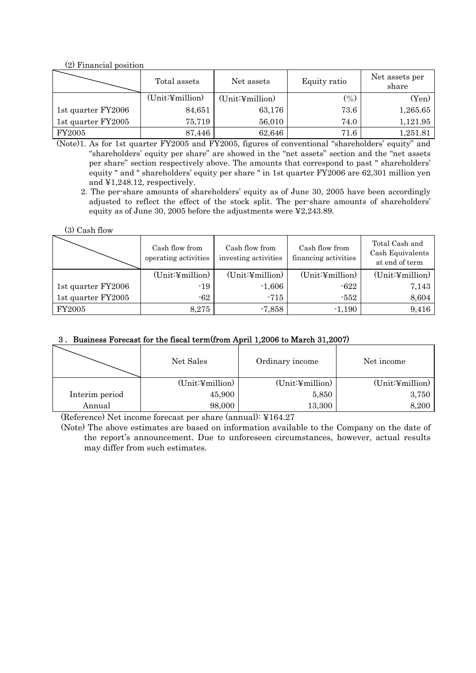(2) Financial position

|                    | Total assets    | Net assets       | Equity ratio | Net assets per<br>share |
|--------------------|-----------------|------------------|--------------|-------------------------|
|                    | (Unit:¥million) | (Unit:4 million) | $(\% )$      | (Yen)                   |
| 1st quarter FY2006 | 84,651          | 63,176           | 73.6         | 1,265.65                |
| 1st quarter FY2005 | 75,719          | 56,010           | 74.0         | 1,121.95                |
| FY2005             | 87,446          | 62,646           | 71.6         | 1,251.81                |

(Note)1. As for 1st quarter FY2005 and FY2005, figures of conventional "shareholders' equity" and "shareholders' equity per share" are showed in the "net assets" section and the "net assets per share" section respectively above. The amounts that correspond to past " shareholders' equity " and " shareholders' equity per share " in 1st quarter FY2006 are 62,301 million yen and ¥1,248.12, respectively.

 2. The per-share amounts of shareholders' equity as of June 30, 2005 have been accordingly adjusted to reflect the effect of the stock split. The per-share amounts of shareholders' equity as of June 30, 2005 before the adjustments were ¥2,243.89.

| $(3)$ Cash flow |  |
|-----------------|--|
|-----------------|--|

|                    | Cash flow from<br>operating activities | Cash flow from<br>investing activities | Cash flow from<br>financing activities | Total Cash and<br>Cash Equivalents<br>at end of term |
|--------------------|----------------------------------------|----------------------------------------|----------------------------------------|------------------------------------------------------|
|                    | (Unit:4 million)                       | (Unit:4 million)                       | (Unit:4 million)                       | (Unit:4 million)                                     |
| 1st quarter FY2006 | -19                                    | $-1,606$                               | -622                                   | 7,143                                                |
| 1st quarter FY2005 | $-62$                                  | -715                                   | $-552$                                 | 8,604                                                |
| FY2005             | 8,275                                  | $-7,858$                               | $-1,190$                               | 9,416                                                |

## 3.Business Forecast for the fiscal term(from April 1,2006 to March 31,2007)

|                | Net Sales       | Ordinary income  | Net income       |  |
|----------------|-----------------|------------------|------------------|--|
|                | (Unit:¥million) | (Unit:4 million) | (Unit:4 million) |  |
| Interim period | 45,900          | 5,850            | 3,750            |  |
| Annual         | 98,000          | 13,300           | 8,200            |  |

(Reference) Net income forecast per share (annual): ¥164.27

 (Note) The above estimates are based on information available to the Company on the date of the report's announcement. Due to unforeseen circumstances, however, actual results may differ from such estimates.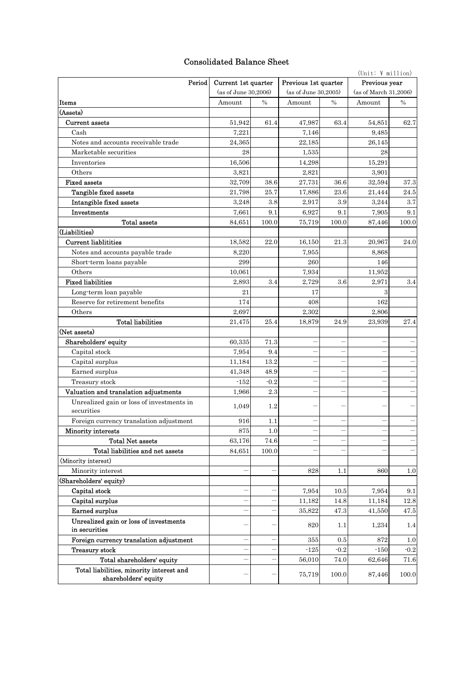## Consolidated Balance Sheet

|                                                                  |                      |             |                      |        | $(Unit: \; \Psi \; million)$ |        |  |
|------------------------------------------------------------------|----------------------|-------------|----------------------|--------|------------------------------|--------|--|
| Period                                                           | Current 1st quarter  |             | Previous 1st quarter |        | Previous year                |        |  |
|                                                                  | (as of June 30,2006) |             | (as of June 30.2005) |        | (as of March 31,2006)        |        |  |
| Items                                                            | Amount               | $\%$        | Amount               | $\%$   | Amount                       | $\%$   |  |
| (Assets)                                                         |                      |             |                      |        |                              |        |  |
| Current assets                                                   | 51,942               | 61.4        | 47,987               | 63.4   | 54,851                       | 62.7   |  |
| Cash                                                             | 7,221                |             | 7,146                |        | 9,485                        |        |  |
| Notes and accounts receivable trade                              | 24,365               |             | 22,185               |        | 26,145                       |        |  |
| Marketable securities                                            | 28                   |             | 1,535                |        | 28                           |        |  |
| Inventories                                                      | 16,506               |             | 14,298               |        | 15,291                       |        |  |
| Others                                                           | 3,821                |             | 2,821                |        | 3,901                        |        |  |
| <b>Fixed assets</b>                                              | 32,709               | 38.6        | 27,731               | 36.6   | 32,594                       | 37.3   |  |
| Tangible fixed assets                                            | 21,798               | 25.7        | 17,886               | 23.6   | 21,444                       | 24.5   |  |
| Intangible fixed assets                                          | 3,248                | 3.8         | 2,917                | 3.9    | 3,244                        | 3.7    |  |
| Investments                                                      | 7,661                | 9.1         | 6,927                | 9.1    | 7,905                        | 9.1    |  |
| Total assets                                                     | 84,651               | 100.0       | 75,719               | 100.0  | 87,446                       | 100.0  |  |
| (Liabilities)                                                    |                      |             |                      |        |                              |        |  |
| <b>Current liablitities</b>                                      | 18,582               | 22.0        | 16,150               | 21.3   | 20,967                       | 24.0   |  |
| Notes and accounts payable trade                                 | 8,220                |             | 7,955                |        | 8,868                        |        |  |
| Short-term loans payable                                         | 299                  |             | 260                  |        | 146                          |        |  |
| Others                                                           | 10,061               |             | 7,934                |        | 11,952                       |        |  |
| <b>Fixed liabilities</b>                                         | 2,893                | 3.4         | 2,729                | 3.6    | 2,971                        | 3.4    |  |
| Long-term loan payable                                           | 21                   |             | 17                   |        | 3                            |        |  |
| Reserve for retirement benefits                                  | 174                  |             | 408                  |        | 162                          |        |  |
| Others                                                           | 2,697                |             | 2,302                |        | 2,806                        |        |  |
| <b>Total liabilities</b>                                         | 21,475               | 25.4        | 18,879               | 24.9   | 23,939                       | 27.4   |  |
| (Net assets)                                                     |                      |             |                      |        |                              |        |  |
| Shareholders' equity                                             | 60,335               | 71.3        |                      |        |                              |        |  |
| Capital stock                                                    | 7,954<br>11,184      | 9.4<br>13.2 |                      |        |                              |        |  |
| Capital surplus<br>Earned surplus                                | 41,348               | 48.9        |                      |        |                              |        |  |
| Treasury stock                                                   | $-152$               | $-0.2$      |                      |        |                              |        |  |
| Valuation and translation adjustments                            | 1,966                | 2.3         |                      |        |                              |        |  |
| Unrealized gain or loss of investments in                        |                      |             |                      |        |                              |        |  |
| securities                                                       | 1,049                | 1.2         |                      |        |                              |        |  |
| Foreign currency translation adjustment                          | 916                  | 1.1         |                      |        |                              |        |  |
| Minority interests                                               | 875                  | 1.0         |                      |        |                              |        |  |
| <b>Total Net assets</b>                                          | 63,176               | 74.6        |                      |        |                              |        |  |
| Total liabilities and net assets                                 | 84,651               | 100.0       |                      |        |                              |        |  |
| (Minority interest)                                              |                      |             |                      |        |                              |        |  |
| Minority interest                                                |                      |             | 828                  | 1.1    | 860                          | 1.0    |  |
| (Shareholders' equity)                                           |                      |             |                      |        |                              |        |  |
| Capital stock                                                    |                      |             | 7,954                | 10.5   | 7,954                        | 9.1    |  |
| Capital surplus                                                  |                      |             | 11,182               | 14.8   | 11,184                       | 12.8   |  |
| Earned surplus                                                   |                      |             | 35,822               | 47.3   | 41,550                       | 47.5   |  |
| Unrealized gain or loss of investments<br>in securities          |                      |             | 820                  | 1.1    | 1,234                        | 1.4    |  |
| Foreign currency translation adjustment                          |                      |             | 355                  | 0.5    | 872                          | 1.0    |  |
| Treasury stock                                                   |                      |             | $-125$               | $-0.2$ | $-150$                       | $-0.2$ |  |
| Total shareholders' equity                                       |                      |             | 56,010               | 74.0   | 62,646                       | 71.6   |  |
| Total liabilities, minority interest and<br>shareholders' equity |                      |             | 75,719               | 100.0  | 87,446                       | 100.0  |  |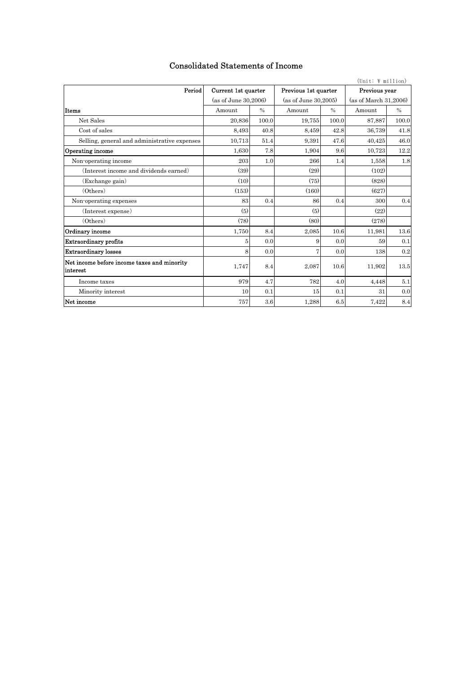| $(Unit: \; \Psi \; million)$                            |                     |                      |                      |                      |               |                       |  |
|---------------------------------------------------------|---------------------|----------------------|----------------------|----------------------|---------------|-----------------------|--|
| Period                                                  | Current 1st quarter |                      | Previous 1st quarter |                      | Previous year |                       |  |
|                                                         |                     | (as of June 30,2006) |                      | (as of June 30.2005) |               | (as of March 31,2006) |  |
| Items                                                   | Amount              | $\frac{0}{0}$        | Amount               | $\frac{0}{0}$        | Amount        | $\frac{0}{0}$         |  |
| Net Sales                                               | 20,836              | 100.0                | 19,755               | 100.0                | 87,887        | 100.0                 |  |
| Cost of sales                                           | 8.493               | 40.8                 | 8,459                | 42.8                 | 36,739        | 41.8                  |  |
| Selling, general and administrative expenses            | 10.713              | 51.4                 | 9.391                | 47.6                 | 40,425        | 46.0                  |  |
| <b>Operating income</b>                                 | 1,630               | 7.8                  | 1,904                | 9.6                  | 10,723        | 12.2                  |  |
| Non-operating income                                    | 203                 | 1.0                  | 266                  | 1.4                  | 1,558         | 1.8                   |  |
| (Interest income and dividends earned)                  | (39)                |                      | (29)                 |                      | (102)         |                       |  |
| (Exchange gain)                                         | (10)                |                      | (75)                 |                      | (828)         |                       |  |
| (Others)                                                | (153)               |                      | (160)                |                      | (627)         |                       |  |
| Non-operating expenses                                  | 83                  | 0.4                  | 86                   | 0.4                  | 300           | 0.4                   |  |
| (Interest expense)                                      | (5)                 |                      | (5)                  |                      | (22)          |                       |  |
| (Others)                                                | (78)                |                      | (80)                 |                      | (278)         |                       |  |
| Ordinary income                                         | 1,750               | 8.4                  | 2,085                | 10.6                 | 11,981        | 13.6                  |  |
| <b>Extraordinary profits</b>                            | 5                   | 0.0                  | 9                    | 0.0                  | 59            | 0.1                   |  |
| <b>Extraordinary losses</b>                             | 8                   | 0.0                  | 7                    | 0.0                  | 138           | 0.2                   |  |
| Net income before income taxes and minority<br>interest | 1,747               | 8.4                  | 2,087                | 10.6                 | 11,902        | 13.5                  |  |
| Income taxes                                            | 979                 | 4.7                  | 782                  | 4.0                  | 4,448         | 5.1                   |  |
| Minority interest                                       | 10                  | 0.1                  | 15                   | 0.1                  | 31            | 0.0                   |  |
| Net income                                              | 757                 | 3.6                  | 1,288                | 6.5                  | 7,422         | 8.4                   |  |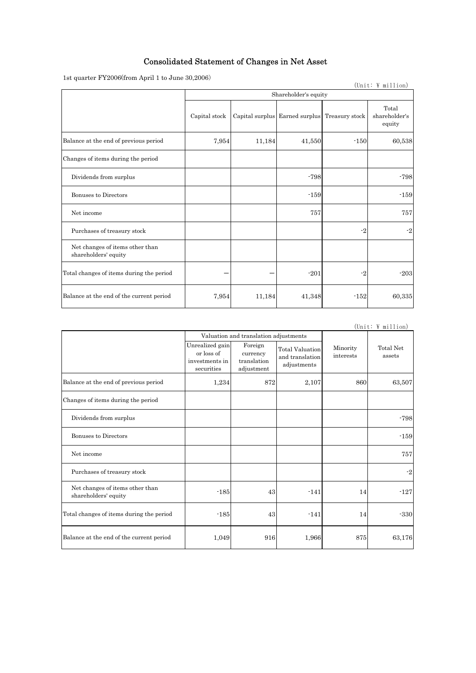## Consolidated Statement of Changes in Net Asset

1st quarter FY2006(from April 1 to June 30,2006)

| Ist quarter $\Gamma$ L2000\Hom April 1 to built $\frac{1}{2000}$ |                      |        |                                               |        | (Unit: \million)                 |  |
|------------------------------------------------------------------|----------------------|--------|-----------------------------------------------|--------|----------------------------------|--|
|                                                                  | Shareholder's equity |        |                                               |        |                                  |  |
|                                                                  | Capital stock        |        | Capital surplus Earned surplus Treasury stock |        | Total<br>shareholder's<br>equity |  |
| Balance at the end of previous period                            | 7,954                | 11,184 | 41,550                                        | $-150$ | 60,538                           |  |
| Changes of items during the period                               |                      |        |                                               |        |                                  |  |
| Dividends from surplus                                           |                      |        | $-798$                                        |        | $-798$                           |  |
| <b>Bonuses to Directors</b>                                      |                      |        | $-159$                                        |        | $-159$                           |  |
| Net income                                                       |                      |        | 757                                           |        | 757                              |  |
| Purchases of treasury stock                                      |                      |        |                                               | $-2$   | $-2$                             |  |
| Net changes of items other than<br>shareholders' equity          |                      |        |                                               |        |                                  |  |
| Total changes of items during the period                         |                      |        | $-201$                                        | $-2$   | $-203$                           |  |
| Balance at the end of the current period                         | 7,954                | 11,184 | 41,348                                        | $-152$ | 60,335                           |  |

(Unit:  $\frac{1}{2}$  million)

|                                                         |                                                               | Valuation and translation adjustments            |                                                   |                       |                     |
|---------------------------------------------------------|---------------------------------------------------------------|--------------------------------------------------|---------------------------------------------------|-----------------------|---------------------|
|                                                         | Unrealized gain<br>or loss of<br>investments in<br>securities | Foreign<br>currency<br>translation<br>adjustment | Total Valuation<br>and translation<br>adjustments | Minority<br>interests | Total Net<br>assets |
| Balance at the end of previous period                   | 1,234                                                         | 872                                              | 2,107                                             | 860                   | 63,507              |
| Changes of items during the period                      |                                                               |                                                  |                                                   |                       |                     |
| Dividends from surplus                                  |                                                               |                                                  |                                                   |                       | $-798$              |
| Bonuses to Directors                                    |                                                               |                                                  |                                                   |                       | $-159$              |
| Net income                                              |                                                               |                                                  |                                                   |                       | 757                 |
| Purchases of treasury stock                             |                                                               |                                                  |                                                   |                       | $-2$                |
| Net changes of items other than<br>shareholders' equity | $-185$                                                        | 43                                               | $-141$                                            | 14                    | $-127$              |
| Total changes of items during the period                | $-185$                                                        | 43                                               | $-141$                                            | 14                    | $-330$              |
| Balance at the end of the current period                | 1,049                                                         | 916                                              | 1,966                                             | 875                   | 63,176              |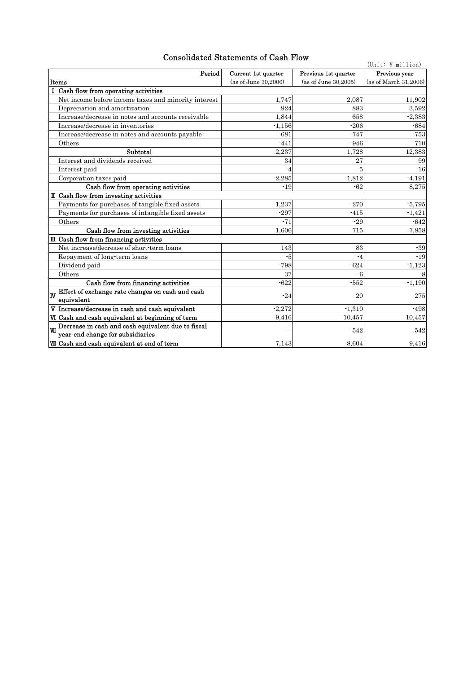## Consolidated Statements of Cash Flow

| Consonuated Statements of Cash Flow<br>$(\text{Unit: } \Psi \text{ million})$                 |                      |                      |                       |  |  |  |
|-----------------------------------------------------------------------------------------------|----------------------|----------------------|-----------------------|--|--|--|
| Period                                                                                        | Current 1st quarter  | Previous 1st quarter | Previous year         |  |  |  |
| Items                                                                                         | (as of June 30,2006) | (as of June 30.2005) | (as of March 31,2006) |  |  |  |
| I Cash flow from operating activities                                                         |                      |                      |                       |  |  |  |
| Net income before income taxes and minority interest                                          | 1,747                | 2,087                | 11,902                |  |  |  |
| Depreciation and amortization                                                                 | 924                  | 883                  | 3.592                 |  |  |  |
| Increase/decrease in notes and accounts receivable                                            | 1,844                | 658                  | $-2,383$              |  |  |  |
| Increase/decrease in inventories                                                              | $-1,156$             | $-206$               | $-684$                |  |  |  |
| Increase/decrease in notes and accounts payable                                               | $-681$               | $-747$               | $-753$                |  |  |  |
| Others                                                                                        | $-441$               | $-946$               | 710                   |  |  |  |
| Subtotal                                                                                      | 2,237                | 1,728                | 12,383                |  |  |  |
| Interest and dividends received                                                               | 34                   | 27                   | 99                    |  |  |  |
| Interest paid                                                                                 | $-4$                 | $-5$                 | $-16$                 |  |  |  |
| Corporation taxes paid                                                                        | $-2,285$             | $-1,812$             | $-4,191$              |  |  |  |
| Cash flow from operating activities                                                           | $-19$                | $-62$                | 8,275                 |  |  |  |
| II Cash flow from investing activities                                                        |                      |                      |                       |  |  |  |
| Payments for purchases of tangible fixed assets                                               | $-1,237$             | $-270$               | $-5.795$              |  |  |  |
| Payments for purchases of intangible fixed assets                                             | $-297$               | $-415$               | $-1,421$              |  |  |  |
| Others                                                                                        | $-71$                | $-29$                | $-642$                |  |  |  |
| Cash flow from investing activities                                                           | $-1.606$             | $-715$               | $-7,858$              |  |  |  |
| III Cash flow from financing activities                                                       |                      |                      |                       |  |  |  |
| Net increase/decrease of short-term loans                                                     | 143                  | 83                   | $-39$                 |  |  |  |
| Repayment of long-term loans                                                                  | -5                   | $-4$                 | $-19$                 |  |  |  |
| Dividend paid                                                                                 | $-798$               | $-624$               | $-1,123$              |  |  |  |
| Others                                                                                        | 37                   | $-6$                 | $-8$                  |  |  |  |
| Cash flow from financing activities                                                           | $-622$               | $-552$               | $-1,190$              |  |  |  |
| Effect of exchange rate changes on cash and cash<br>lw<br>equivalent                          | $-24$                | 20                   | 275                   |  |  |  |
| V Increase/decrease in cash and cash equivalent                                               | $-2,272$             | $-1,310$             | $-498$                |  |  |  |
| VI Cash and cash equivalent at beginning of term                                              | 9,416                | 10,457               | 10,457                |  |  |  |
| Decrease in cash and cash equivalent due to fiscal<br>$W$<br>year-end change for subsidiaries |                      | $-542$               | $-542$                |  |  |  |
| <b>WI</b> Cash and cash equivalent at end of term                                             | 7,143                | 8.604                | 9,416                 |  |  |  |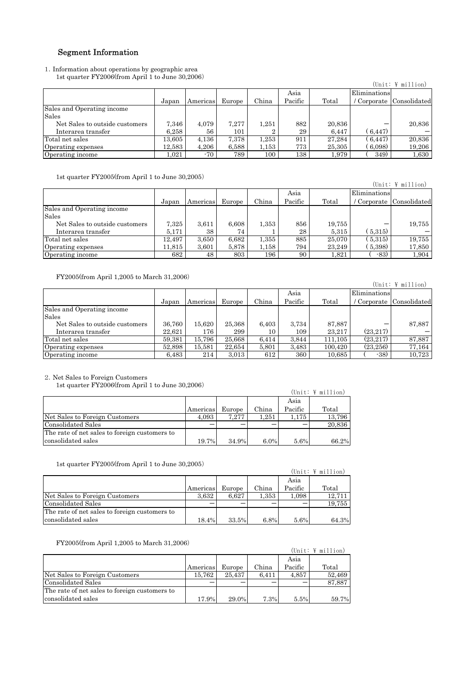## Segment Information

1.Information about operations by geographic area 1st quarter FY2006(from April 1 to June 30,2006)

|                                |        |          |        |         |         |        |              | $(Unit: \; \Psi \; million)$ |
|--------------------------------|--------|----------|--------|---------|---------|--------|--------------|------------------------------|
|                                |        |          |        |         | Asia    |        | Eliminations |                              |
|                                | Japan  | Americas | Europe | China   | Pacific | Total  |              | / Corporate Consolidated     |
| Sales and Operating income     |        |          |        |         |         |        |              |                              |
| Sales                          |        |          |        |         |         |        |              |                              |
| Net Sales to outside customers | 7.346  | 4.079    | 7.277  | 1,251   | 882     | 20,836 |              | 20,836                       |
| Interarea transfer             | 6.258  | 56       | 101    |         | 29      | 6,447  | (6, 447)     |                              |
| Total net sales                | 13.605 | 4,136    | 7,378  | 1,253   | 911     | 27.284 | (6.447)      | 20,836                       |
| Operating expenses             | 12,583 | 4,206    | 6,588  | 1,153   | 773     | 25,305 | 6,098)       | 19,206                       |
| Operating income               | 1,021  | -70      | 789    | $100\,$ | 138     | 1,979  | 349)         | 1,630                        |

1st quarter FY2005(from April 1 to June 30,2005)

| ISU quarter P $12009(11011$ April 1 to buile $90,2009$ |        |          |        |       |         |        |              |                                        |
|--------------------------------------------------------|--------|----------|--------|-------|---------|--------|--------------|----------------------------------------|
|                                                        |        |          |        |       |         |        |              | $(\text{Unit: } \Psi \text{ million})$ |
|                                                        |        |          |        |       | Asia    |        | Eliminations |                                        |
|                                                        | Japan  | Americas | Europe | China | Pacific | Total  |              | Corporate Consolidated                 |
| Sales and Operating income                             |        |          |        |       |         |        |              |                                        |
| Sales                                                  |        |          |        |       |         |        |              |                                        |
| Net Sales to outside customers                         | 7,325  | 3.611    | 6,608  | 1,353 | 856     | 19,755 |              | 19,755                                 |
| Interarea transfer                                     | 5.171  | 38       | 74     |       | 28      | 5,315  | 5.315)       |                                        |
| Total net sales                                        | 12.497 | 3,650    | 6,682  | 1,355 | 885     | 25.070 | 5.315)       | 19,755                                 |
| Operating expenses                                     | 11,815 | 3,601    | 5,878  | 1,158 | 794     | 23.249 | 5,398)       | 17,850                                 |
| Operating income                                       | 682    | 48       | 803    | 196   | 90      | 1,821  | $-83)$       | 1,904                                  |

FY2005(from April 1,2005 to March 31,2006)

| $r_{12000(1000)}$ April 1,2005 to March 31,2006/ |        |          |        |       |         |         |              |                                        |
|--------------------------------------------------|--------|----------|--------|-------|---------|---------|--------------|----------------------------------------|
|                                                  |        |          |        |       |         |         |              | $(\text{Unit: } \Psi \text{ million})$ |
|                                                  |        |          |        |       | Asia    |         | Eliminations |                                        |
|                                                  | Japan  | Americas | Europe | China | Pacific | Total   |              | / Corporate Consolidated               |
| Sales and Operating income                       |        |          |        |       |         |         |              |                                        |
| Sales                                            |        |          |        |       |         |         |              |                                        |
| Net Sales to outside customers                   | 36.760 | 15.620   | 25,368 | 6,403 | 3,734   | 87,887  |              | 87,887                                 |
| Interarea transfer                               | 22.621 | 176      | 299    | 10    | 109     | 23.217  | (23.217)     |                                        |
| Total net sales                                  | 59.381 | 15.796   | 25.668 | 6.414 | 3,844   | 111.105 | (23.217)     | 87,887                                 |
| Operating expenses                               | 52.898 | 15.581   | 22.654 | 5.801 | 3,483   | 100.420 | (23.256)     | 77,164                                 |
| Operating income                                 | 6,483  | 214      | 3,013  | 612   | 360     | 10,685  | $-38$        | 10,723                                 |

2.Net Sales to Foreign Customers

1st quarter FY2006(from April 1 to June 30,2006)

| $100 \text{ q}$ and $1000 \text{ q}$ and $1000 \text{ q}$ and $1000 \text{ q}$ |          |        |         |         | (Unit: $\frac{1}{2}$ million) |
|--------------------------------------------------------------------------------|----------|--------|---------|---------|-------------------------------|
|                                                                                |          |        |         | Asia    |                               |
|                                                                                | Americas | Europe | China   | Pacific | Total                         |
| Net Sales to Foreign Customers                                                 | 4.093    | 7.277  | 1.251   | 1.175   | 13,796                        |
| Consolidated Sales                                                             |          |        |         |         | 20,836                        |
| The rate of net sales to foreign customers to                                  |          |        |         |         |                               |
| consolidated sales                                                             | 19.7%    | 34.9%  | $6.0\%$ | 5.6%    | 66.2%                         |

1st quarter FY2005(from April 1 to June 30,2005)

|                                               |          |        |       |         | $(Unit: \; \Psi \; million)$ |
|-----------------------------------------------|----------|--------|-------|---------|------------------------------|
|                                               |          |        |       | Asia    |                              |
|                                               | Americas | Europe | China | Pacific | Total                        |
| Net Sales to Foreign Customers                | 3.632    | 6.627  | 1,353 | 1.098   | 12.711                       |
| Consolidated Sales                            |          |        |       |         | 19.755                       |
| The rate of net sales to foreign customers to |          |        |       |         |                              |
| consolidated sales                            | 18.4%    | 33.5%  | 6.8%  | 5.6%    | 64.3%                        |

FY2005(from April 1,2005 to March 31,2006)

| $\Gamma$ 12000\Home April 1,2000 to march 01,2000/ |          |          |       |         | (Unit: $\frac{1}{2}$ million) |
|----------------------------------------------------|----------|----------|-------|---------|-------------------------------|
|                                                    |          |          |       | Asia    |                               |
|                                                    | Americas | Europe   | China | Pacific | Total                         |
| Net Sales to Foreign Customers                     | 15.762   | 25.437   | 6.411 | 4,857   | 52,469                        |
| Consolidated Sales                                 |          |          |       |         | 87,887                        |
| The rate of net sales to foreign customers to      |          |          |       |         |                               |
| consolidated sales                                 | 17.9%    | $29.0\%$ | 7.3%  | 5.5%    | 59.7%                         |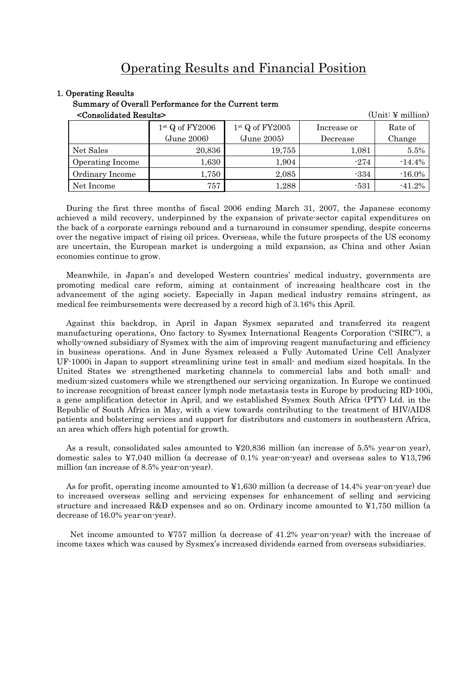# Operating Results and Financial Position

#### 1. Operating Results

Summary of Overall Performance for the Current term

<Consolidated Results> (Unit: ¥ million)

| NUCLES SUBDITIONS THE TERM AND THE T |                   |                   | ∖∪шь∙ ± шшшош |           |
|--------------------------------------|-------------------|-------------------|---------------|-----------|
|                                      | $1st$ Q of FY2006 | $1st$ Q of FY2005 | Increase or   | Rate of   |
|                                      | (June 2006)       | (June 2005)       | Decrease      | Change    |
| Net Sales                            | 20,836            | 19,755            | 1,081         | 5.5%      |
| Operating Income                     | 1,630             | 1,904             | $-274$        | $-14.4%$  |
| Ordinary Income                      | 1,750             | 2,085             | $-334$        | $-16.0\%$ |
| Net Income                           | 757               | 1,288             | $-531$        | $-41.2%$  |

During the first three months of fiscal 2006 ending March 31, 2007, the Japanese economy achieved a mild recovery, underpinned by the expansion of private-sector capital expenditures on the back of a corporate earnings rebound and a turnaround in consumer spending, despite concerns over the negative impact of rising oil prices. Overseas, while the future prospects of the US economy are uncertain, the European market is undergoing a mild expansion, as China and other Asian economies continue to grow.

Meanwhile, in Japan's and developed Western countries' medical industry, governments are promoting medical care reform, aiming at containment of increasing healthcare cost in the advancement of the aging society. Especially in Japan medical industry remains stringent, as medical fee reimbursements were decreased by a record high of 3.16% this April.

Against this backdrop, in April in Japan Sysmex separated and transferred its reagent manufacturing operations, Ono factory to Sysmex International Reagents Corporation ("SIRC"), a wholly-owned subsidiary of Sysmex with the aim of improving reagent manufacturing and efficiency in business operations. And in June Sysmex released a Fully Automated Urine Cell Analyzer UF-1000i in Japan to support streamlining urine test in small- and medium sized hospitals. In the United States we strengthened marketing channels to commercial labs and both small- and medium-sized customers while we strengthened our servicing organization. In Europe we continued to increase recognition of breast cancer lymph node metastasis tests in Europe by producing RD-100i, a gene amplification detector in April, and we established Sysmex South Africa (PTY) Ltd. in the Republic of South Africa in May, with a view towards contributing to the treatment of HIV/AIDS patients and bolstering services and support for distributors and customers in southeastern Africa, an area which offers high potential for growth.

As a result, consolidated sales amounted to ¥20,836 million (an increase of 5.5% year-on year), domestic sales to ¥7,040 million (a decrease of 0.1% year-on-year) and overseas sales to ¥13,796 million (an increase of 8.5% year-on-year).

As for profit, operating income amounted to ¥1,630 million (a decrease of 14.4% year-on-year) due to increased overseas selling and servicing expenses for enhancement of selling and servicing structure and increased R&D expenses and so on. Ordinary income amounted to ¥1,750 million (a decrease of 16.0% year-on-year).

 Net income amounted to ¥757 million (a decrease of 41.2% year-on-year) with the increase of income taxes which was caused by Sysmex's increased dividends earned from overseas subsidiaries.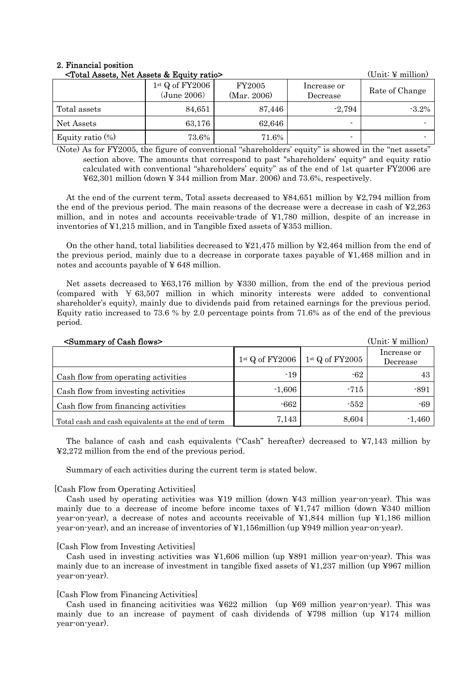#### 2. Financial position  $\mathcal{F}_{\text{total}}$   $\Lambda_{\text{ex}}$  Net  $\Lambda_{\text{ex}}$   $\theta$ . Equity ratios

| $\sim$ Total Assets, Net Assets $\alpha$ Equity ratio | /OIIIII· ± IIIIIIIIIIII          |                       |                          |                |
|-------------------------------------------------------|----------------------------------|-----------------------|--------------------------|----------------|
|                                                       | $1st$ Q of FY2006<br>(June 2006) | FY2005<br>(Mar. 2006) | Increase or<br>Decrease  | Rate of Change |
| Total assets                                          | 84,651                           | 87,446                | $-2,794$                 | $-3.2\%$       |
| Net Assets                                            | 63,176                           | 62,646                | $\overline{\phantom{0}}$ |                |
| Equity ratio $(\%)$                                   | 73.6%                            | 71.6%                 | $\blacksquare$           |                |

(Note) As for FY2005, the figure of conventional "shareholders' equity" is showed in the "net assets" section above. The amounts that correspond to past "shareholders' equity" and equity ratio calculated with conventional "shareholders' equity" as of the end of 1st quarter FY2006 are ¥62,301 million (down ¥ 344 million from Mar. 2006) and 73.6%, respectively.

At the end of the current term, Total assets decreased to ¥84,651 million by ¥2,794 million from the end of the previous period. The main reasons of the decrease were a decrease in cash of ¥2,263 million, and in notes and accounts receivable-trade of ¥1,780 million, despite of an increase in inventories of ¥1,215 million, and in Tangible fixed assets of ¥353 million.

On the other hand, total liabilities decreased to  $\yen 21,475$  million by  $\yen 2,464$  million from the end of the previous period, mainly due to a decrease in corporate taxes payable of ¥1,468 million and in notes and accounts payable of ¥ 648 million.

Net assets decreased to ¥63,176 million by ¥330 million, from the end of the previous period (compared with ¥ 63,507 million in which minority interests were added to conventional shareholder's equity), mainly due to dividends paid from retained earnings for the previous period. Equity ratio increased to 73.6 % by 2.0 percentage points from 71.6% as of the end of the previous period.

| <summary cash="" flows="" of=""></summary>         |                   |                   | $(Unit: \n  \n  \n  million)$ |
|----------------------------------------------------|-------------------|-------------------|-------------------------------|
|                                                    | $1st$ Q of FY2006 | $1st$ Q of FY2005 | Increase or<br>Decrease       |
| Cash flow from operating activities                | $-19$             | -62               | 43                            |
| Cash flow from investing activities                | $-1,606$          | $-715$            | $-891$                        |
| Cash flow from financing activities                | $-662$            | -552              | -69                           |
| Total cash and cash equivalents at the end of term | 7,143             | 8,604             | $-1,460$                      |

The balance of cash and cash equivalents ("Cash" hereafter) decreased to  $\yen$ 7,143 million by ¥2,272 million from the end of the previous period.

Summary of each activities during the current term is stated below.

#### [Cash Flow from Operating Activities]

Cash used by operating activities was ¥19 million (down ¥43 million year-on-year). This was mainly due to a decrease of income before income taxes of  $\yen$ 1,747 million (down  $\yen$ 340 million year-on-year), a decrease of notes and accounts receivable of ¥1,844 million (up ¥1,186 million year-on-year), and an increase of inventories of ¥1,156million (up ¥949 million year-on-year).

#### [Cash Flow from Investing Activities]

Cash used in investing activities was ¥1,606 million (up ¥891 million year-on-year). This was mainly due to an increase of investment in tangible fixed assets of ¥1,237 million (up ¥967 million year-on-year).

#### [Cash Flow from Financing Activities]

Cash used in financing acitivities was  $\text{\#}622$  million (up  $\text{\#}69$  million year-on-year). This was mainly due to an increase of payment of cash dividends of ¥798 million (up ¥174 million year-on-year).